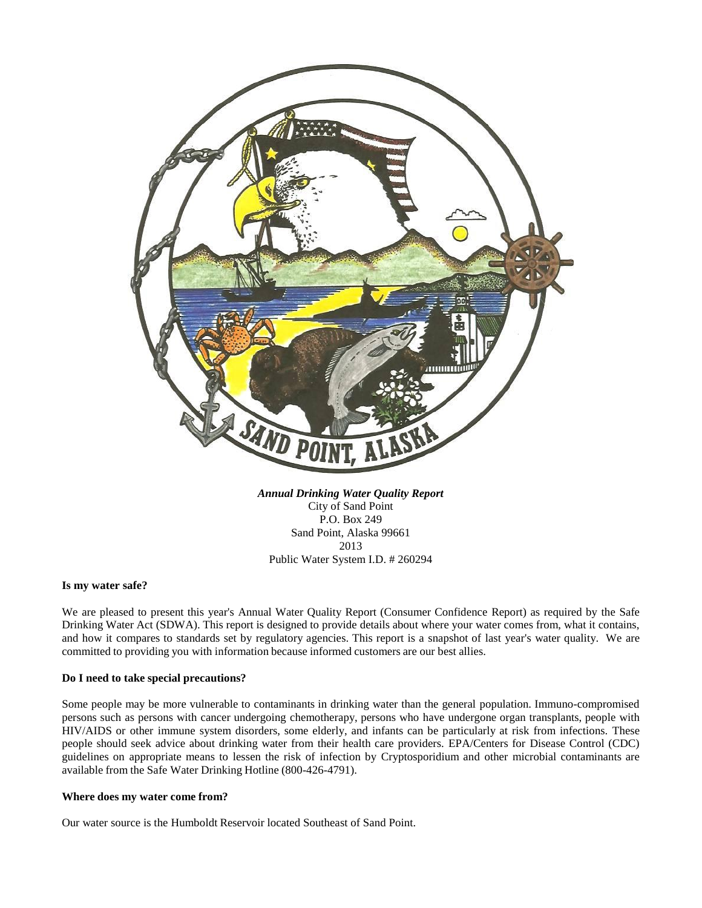

*Annual Drinking Water Quality Report* City of Sand Point P.O. Box 249 Sand Point, Alaska 99661 2013 Public Water System I.D. # 260294

## **Is my water safe?**

We are pleased to present this year's Annual Water Quality Report (Consumer Confidence Report) as required by the Safe Drinking Water Act (SDWA). This report is designed to provide details about where your water comes from, what it contains, and how it compares to standards set by regulatory agencies. This report is a snapshot of last year's water quality. We are committed to providing you with information because informed customers are our best allies.

### **Do I need to take special precautions?**

Some people may be more vulnerable to contaminants in drinking water than the general population. Immuno-compromised persons such as persons with cancer undergoing chemotherapy, persons who have undergone organ transplants, people with HIV/AIDS or other immune system disorders, some elderly, and infants can be particularly at risk from infections. These people should seek advice about drinking water from their health care providers. EPA/Centers for Disease Control (CDC) guidelines on appropriate means to lessen the risk of infection by Cryptosporidium and other microbial contaminants are available from the Safe Water Drinking Hotline (800-426-4791).

#### **Where does my water come from?**

Our water source is the Humboldt Reservoir located Southeast of Sand Point.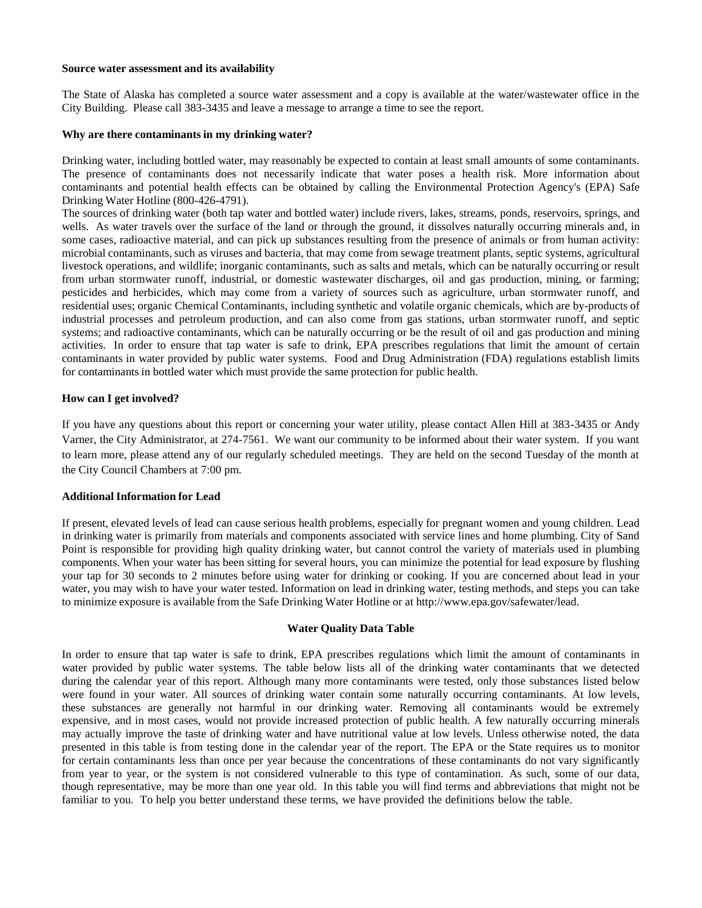#### **Source water assessment and its availability**

The State of Alaska has completed a source water assessment and a copy is available at the water/wastewater office in the City Building. Please call 383-3435 and leave a message to arrange a time to see the report.

#### **Why are there contaminants in my drinking water?**

Drinking water, including bottled water, may reasonably be expected to contain at least small amounts of some contaminants. The presence of contaminants does not necessarily indicate that water poses a health risk. More information about contaminants and potential health effects can be obtained by calling the Environmental Protection Agency's (EPA) Safe Drinking Water Hotline (800-426-4791).

The sources of drinking water (both tap water and bottled water) include rivers, lakes, streams, ponds, reservoirs, springs, and wells. As water travels over the surface of the land or through the ground, it dissolves naturally occurring minerals and, in some cases, radioactive material, and can pick up substances resulting from the presence of animals or from human activity: microbial contaminants, such as viruses and bacteria, that may come from sewage treatment plants, septic systems, agricultural livestock operations, and wildlife; inorganic contaminants, such as salts and metals, which can be naturally occurring or result from urban stormwater runoff, industrial, or domestic wastewater discharges, oil and gas production, mining, or farming; pesticides and herbicides, which may come from a variety of sources such as agriculture, urban stormwater runoff, and residential uses; organic Chemical Contaminants, including synthetic and volatile organic chemicals, which are by-products of industrial processes and petroleum production, and can also come from gas stations, urban stormwater runoff, and septic systems; and radioactive contaminants, which can be naturally occurring or be the result of oil and gas production and mining activities. In order to ensure that tap water is safe to drink, EPA prescribes regulations that limit the amount of certain contaminants in water provided by public water systems. Food and Drug Administration (FDA) regulations establish limits for contaminants in bottled water which must provide the same protection for public health.

### **How can I get involved?**

If you have any questions about this report or concerning your water utility, please contact Allen Hill at 383-3435 or Andy Varner, the City Administrator, at 274-7561. We want our community to be informed about their water system. If you want to learn more, please attend any of our regularly scheduled meetings. They are held on the second Tuesday of the month at the City Council Chambers at 7:00 pm.

### **Additional Information for Lead**

If present, elevated levels of lead can cause serious health problems, especially for pregnant women and young children. Lead in drinking water is primarily from materials and components associated with service lines and home plumbing. City of Sand Point is responsible for providing high quality drinking water, but cannot control the variety of materials used in plumbing components. When your water has been sitting for several hours, you can minimize the potential for lead exposure by flushing your tap for 30 seconds to 2 minutes before using water for drinking or cooking. If you are concerned about lead in your water, you may wish to have your water tested. Information on lead in drinking water, testing methods, and steps you can take to minimize exposure is available from the Safe Drinking Water Hotline or at [http://www.epa.gov/safewater/lead.](http://www.epa.gov/safewater/lead)

### **Water Quality Data Table**

In order to ensure that tap water is safe to drink, EPA prescribes regulations which limit the amount of contaminants in water provided by public water systems. The table below lists all of the drinking water contaminants that we detected during the calendar year of this report. Although many more contaminants were tested, only those substances listed below were found in your water. All sources of drinking water contain some naturally occurring contaminants. At low levels, these substances are generally not harmful in our drinking water. Removing all contaminants would be extremely expensive, and in most cases, would not provide increased protection of public health. A few naturally occurring minerals may actually improve the taste of drinking water and have nutritional value at low levels. Unless otherwise noted, the data presented in this table is from testing done in the calendar year of the report. The EPA or the State requires us to monitor for certain contaminants less than once per year because the concentrations of these contaminants do not vary significantly from year to year, or the system is not considered vulnerable to this type of contamination. As such, some of our data, though representative, may be more than one year old. In this table you will find terms and abbreviations that might not be familiar to you. To help you better understand these terms, we have provided the definitions below the table.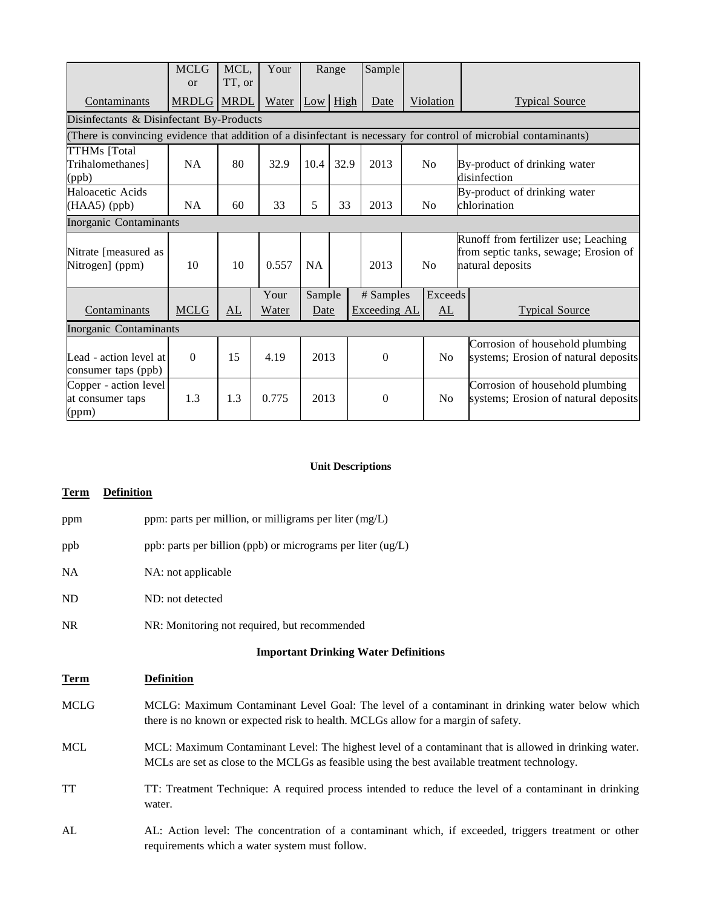|                                                                                                                   | <b>MCLG</b><br><b>or</b> | MCL,<br>TT, or | Your  | Range     |            | Sample       |  |                           |                                                                                                   |
|-------------------------------------------------------------------------------------------------------------------|--------------------------|----------------|-------|-----------|------------|--------------|--|---------------------------|---------------------------------------------------------------------------------------------------|
| Contaminants                                                                                                      | <b>MRDLG MRDL</b>        |                | Water |           | $Low$ High | Date         |  | Violation                 | <b>Typical Source</b>                                                                             |
| Disinfectants & Disinfectant By-Products                                                                          |                          |                |       |           |            |              |  |                           |                                                                                                   |
| (There is convincing evidence that addition of a disinfectant is necessary for control of microbial contaminants) |                          |                |       |           |            |              |  |                           |                                                                                                   |
| <b>TTHMs</b> [Total<br>Trihalomethanes]<br>(ppb)                                                                  | NA                       | 80             | 32.9  | 10.4      | 32.9       | 2013         |  | No                        | By-product of drinking water<br>disinfection                                                      |
| Haloacetic Acids<br>$(HAA5)$ (ppb)                                                                                | <b>NA</b>                | 60             | 33    | 5         | 33         | 2013         |  | No                        | By-product of drinking water<br>chlorination                                                      |
| Inorganic Contaminants                                                                                            |                          |                |       |           |            |              |  |                           |                                                                                                   |
| Nitrate [measured as<br>Nitrogen] (ppm)                                                                           | 10                       | 10             | 0.557 | <b>NA</b> |            | 2013         |  | No                        | Runoff from fertilizer use; Leaching<br>from septic tanks, sewage; Erosion of<br>natural deposits |
|                                                                                                                   |                          |                | Your  | Sample    |            | # Samples    |  | Exceeds                   |                                                                                                   |
| Contaminants                                                                                                      | <b>MCLG</b>              | AL             | Water | Date      |            | Exceeding AL |  | $\underline{\mathrm{AL}}$ | <b>Typical Source</b>                                                                             |
| <b>Inorganic Contaminants</b>                                                                                     |                          |                |       |           |            |              |  |                           |                                                                                                   |
| Lead - action level at<br>consumer taps (ppb)                                                                     | $\Omega$                 | 15             | 4.19  | 2013      |            | $\theta$     |  |                           | Corrosion of household plumbing<br>systems; Erosion of natural deposits                           |
| Copper - action level<br>at consumer taps<br>(ppm)                                                                | 1.3                      | 1.3            | 0.775 | 2013      |            | $\Omega$     |  |                           | Corrosion of household plumbing<br>systems; Erosion of natural deposits                           |

# **Unit Descriptions**

# **Term Definition**

| ppm                                         | ppm: parts per million, or milligrams per liter (mg/L)                                                                                                                                                 |  |  |  |  |  |  |
|---------------------------------------------|--------------------------------------------------------------------------------------------------------------------------------------------------------------------------------------------------------|--|--|--|--|--|--|
| ppb                                         | ppb: parts per billion (ppb) or micrograms per liter (ug/L)                                                                                                                                            |  |  |  |  |  |  |
| NA                                          | NA: not applicable                                                                                                                                                                                     |  |  |  |  |  |  |
| ND                                          | ND: not detected                                                                                                                                                                                       |  |  |  |  |  |  |
| NR                                          | NR: Monitoring not required, but recommended                                                                                                                                                           |  |  |  |  |  |  |
| <b>Important Drinking Water Definitions</b> |                                                                                                                                                                                                        |  |  |  |  |  |  |
| Term                                        | <b>Definition</b>                                                                                                                                                                                      |  |  |  |  |  |  |
| MCLG                                        | MCLG: Maximum Contaminant Level Goal: The level of a contaminant in drinking water below which<br>there is no known or expected risk to health. MCLGs allow for a margin of safety.                    |  |  |  |  |  |  |
| MCL                                         | MCL: Maximum Contaminant Level: The highest level of a contaminant that is allowed in drinking water.<br>MCLs are set as close to the MCLGs as feasible using the best available treatment technology. |  |  |  |  |  |  |
| TT                                          | TT: Treatment Technique: A required process intended to reduce the level of a contaminant in drinking<br>water.                                                                                        |  |  |  |  |  |  |
| AL                                          | AL: Action level: The concentration of a contaminant which, if exceeded, triggers treatment or other<br>requirements which a water system must follow.                                                 |  |  |  |  |  |  |